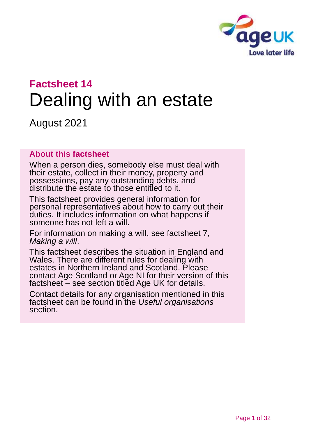

# **Factsheet 14** Dealing with an estate

August 2021

#### **About this factsheet**

When a person dies, somebody else must deal with their estate, collect in their money, property and possessions, pay any outstanding debts, and distribute the estate to those entitled to it.

This factsheet provides general information for personal representatives about how to carry out their duties. It includes information on what happens if someone has not left a will.

For information on making a will, see factsheet 7, *[Making a will](https://www.ageuk.org.uk/globalassets/age-uk/documents/factsheets/fs7_making_a_will_fcs.pdf)*.

This factsheet describes the situation in England and Wales. There are different rules for dealing with estates in Northern Ireland and Scotland. Please contact [Age Scotland](#page-30-0) or [Age NI](#page-30-1) for their version of this factsheet – see [section titled Age UK](#page-30-2) for details.

Contact details for any organisation mentioned in this factsheet can be found in the *[Useful organisations](#page-28-0)* section.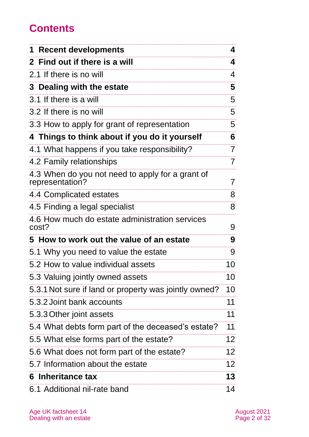# **Contents**

| <b>1 Recent developments</b>                                        | 4               |
|---------------------------------------------------------------------|-----------------|
| 2 Find out if there is a will                                       | 4               |
| 2.1 If there is no will                                             | 4               |
| 3 Dealing with the estate                                           | 5               |
| 3.1 If there is a will                                              | 5               |
| 3.2 If there is no will                                             | 5               |
| 3.3 How to apply for grant of representation                        | 5               |
| 4 Things to think about if you do it yourself                       | 6               |
| 4.1 What happens if you take responsibility?                        | 7               |
| 4.2 Family relationships                                            | 7               |
| 4.3 When do you not need to apply for a grant of<br>representation? | $\overline{7}$  |
| 4.4 Complicated estates                                             | 8               |
| 4.5 Finding a legal specialist                                      | 8               |
| 4.6 How much do estate administration services<br>cost?             | 9               |
| 5 How to work out the value of an estate                            | 9               |
| 5.1 Why you need to value the estate                                | 9               |
| 5.2 How to value individual assets                                  | 10              |
| 5.3 Valuing jointly owned assets                                    | 10              |
| 5.3.1 Not sure if land or property was jointly owned?               | 10              |
| 5.3.2 Joint bank accounts                                           | 11              |
| 5.3.3 Other joint assets                                            | 11              |
| 5.4 What debts form part of the deceased's estate?                  | 11              |
| 5.5 What else forms part of the estate?                             | 12 <sub>2</sub> |
| 5.6 What does not form part of the estate?                          | 12              |
| 5.7 Information about the estate                                    | 12 <sub>2</sub> |
| 6 Inheritance tax                                                   | 13              |
| 6.1 Additional nil-rate band                                        | 14              |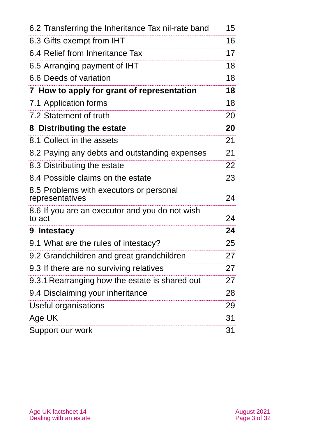| 6.2 Transferring the Inheritance Tax nil-rate band         | 15 |
|------------------------------------------------------------|----|
| 6.3 Gifts exempt from IHT                                  | 16 |
| 6.4 Relief from Inheritance Tax                            | 17 |
| 6.5 Arranging payment of IHT                               | 18 |
| 6.6 Deeds of variation                                     | 18 |
| 7 How to apply for grant of representation                 | 18 |
| 7.1 Application forms                                      | 18 |
| 7.2 Statement of truth                                     | 20 |
| 8 Distributing the estate                                  | 20 |
| 8.1 Collect in the assets                                  | 21 |
| 8.2 Paying any debts and outstanding expenses              | 21 |
| 8.3 Distributing the estate                                | 22 |
| 8.4 Possible claims on the estate                          | 23 |
| 8.5 Problems with executors or personal<br>representatives | 24 |
| 8.6 If you are an executor and you do not wish<br>to act   | 24 |
| 9 Intestacy                                                | 24 |
| 9.1 What are the rules of intestacy?                       | 25 |
| 9.2 Grandchildren and great grandchildren                  | 27 |
| 9.3 If there are no surviving relatives                    | 27 |
| 9.3.1 Rearranging how the estate is shared out             | 27 |
| 9.4 Disclaiming your inheritance                           | 28 |
| Useful organisations                                       | 29 |
| Age UK                                                     | 31 |
| Support our work                                           | 31 |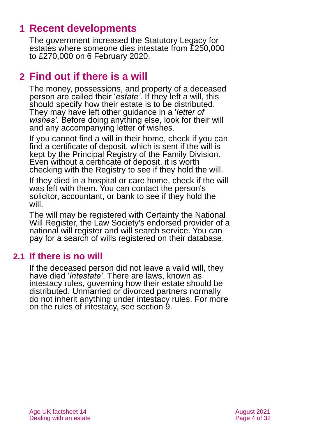## <span id="page-3-0"></span>**1 Recent developments**

The government increased the Statutory Legacy for estates where someone dies intestate from £250,000 to £270,000 on 6 February 2020.

### <span id="page-3-1"></span>**2 Find out if there is a will**

The money, possessions, and property of a deceased person are called their '*estate'*. If they left a will, this should specify how their estate is to be distributed. They may have left other guidance in a '*letter of wishes'*. Before doing anything else, look for their will and any accompanying letter of wishes.

If you cannot find a will in their home, check if you can find a certificate of deposit, which is sent if the will is kept by the Principal Registry of the Family Division. Even without a certificate of deposit, it is worth checking with the Registry to see if they hold the will.

If they died in a hospital or care home, check if the will was left with them. You can contact the person's solicitor, accountant, or bank to see if they hold the will.

The will may be registered with [Certainty the National](https://www.nationalwillregister.co.uk/)  [Will Register,](https://www.nationalwillregister.co.uk/) the Law Society's endorsed provider of a national will register and will search service. You can pay for a search of wills registered on their database.

### **2.1 If there is no will**

If the deceased person did not leave a valid will, they have died '*intestate'*. There are laws, known as intestacy rules, governing how their estate should be distributed. Unmarried or divorced partners normally do not inherit anything under intestacy rules. For more on the rules of intestacy, [see](#page-23-0) [section 9.](#page-23-0)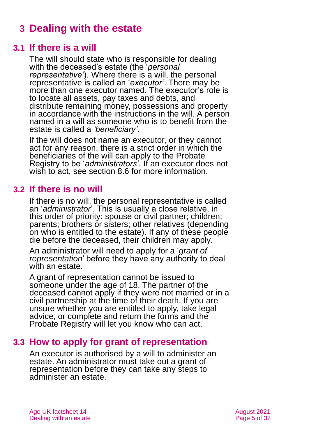# <span id="page-4-0"></span>**3 Dealing with the estate**

### **3.1 If there is a will**

The will should state who is responsible for dealing with the deceased's estate (the '*personal representative'*). Where there is a will, the personal representative is called an '*executor'*. There may be more than one executor named. The executor's role is to locate all assets, pay taxes and debts, and distribute remaining money, possessions and property in accordance with the instructions in the will. A person named in a will as someone who is to benefit from the estate is called a *'beneficiary'*.

If the will does not name an executor, or they cannot act for any reason, there is a strict order in which the beneficiaries of the will can apply to the Probate Registry to be '*administrators'*. If an executor does not wish to act, [see section 8.6](#page-23-1) for more information.

#### **3.2 If there is no will**

If there is no will, the personal representative is called an '*administrator*'. This is usually a close relative, in this order of priority: spouse or civil partner; children; parents; brothers or sisters; other relatives (depending on who is entitled to the estate). If any of these people die before the deceased, their children may apply.

An administrator will need to apply for a '*grant of representation*' before they have any authority to deal with an estate.

A grant of representation cannot be issued to someone under the age of 18. The partner of the deceased cannot apply if they were not married or in a civil partnership at the time of their death. If you are unsure whether you are entitled to apply, take legal advice, or complete and return the forms and the Probate Registry will let you know who can act.

### **3.3 How to apply for grant of representation**

An executor is authorised by a will to administer an estate. An administrator must take out a grant of representation before they can take any steps to administer an estate.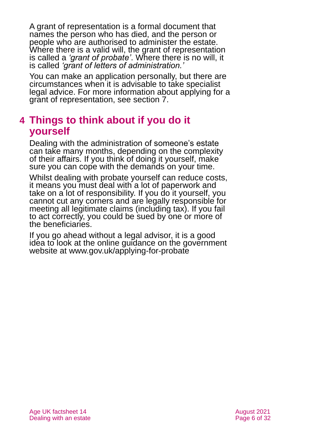A grant of representation is a formal document that names the person who has died, and the person or people who are authorised to administer the estate. Where there is a valid will, the grant of representation is called a *'grant of probate'*. Where there is no will, it is called *'grant of letters of administration.'*

You can make an application personally, but there are circumstances when it is advisable to take specialist legal advice. For more information about applying for a grant of representation, see [section 7.](#page-17-0)

### <span id="page-5-0"></span>**4 Things to think about if you do it yourself**

Dealing with the administration of someone's estate can take many months, depending on the complexity of their affairs. If you think of doing it yourself, make sure you can cope with the demands on your time.

Whilst dealing with probate yourself can reduce costs, it means you must deal with a lot of paperwork and take on a lot of responsibility. If you do it yourself, you cannot cut any corners and are legally responsible for meeting all legitimate claims (including tax). If you fail to act correctly, you could be sued by one or more of the beneficiaries.

If you go ahead without a legal advisor, it is a good idea to look at the online guidance on the government website at [www.gov.uk/applying-for-probate](http://www.gov.uk/applying-for-probate)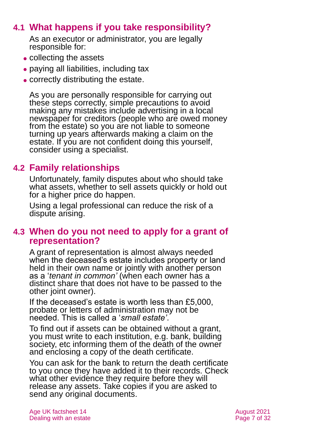### **4.1 What happens if you take responsibility?**

As an executor or administrator, you are legally responsible for:

- collecting the assets
- ⚫ paying all liabilities, including tax
- ⚫ correctly distributing the estate.

As you are personally responsible for carrying out these steps correctly, simple precautions to avoid making any mistakes include advertising in a local newspaper for creditors (people who are owed money from the estate) so you are not liable to someone turning up years afterwards making a claim on the estate. If you are not confident doing this yourself, consider using a specialist.

### **4.2 Family relationships**

Unfortunately, family disputes about who should take what assets, whether to sell assets quickly or hold out for a higher price do happen.

Using a legal professional can reduce the risk of a dispute arising.

### **4.3 When do you not need to apply for a grant of representation?**

A grant of representation is almost always needed when the deceased's estate includes property or land held in their own name or jointly with another person as a '*tenant in common'* (when each owner has a distinct share that does not have to be passed to the other joint owner).

If the deceased's estate is worth less than £5,000, probate or letters of administration may not be needed. This is called a '*small estate'*.

To find out if assets can be obtained without a grant, you must write to each institution, e.g. bank, building society, etc informing them of the death of the owner and enclosing a copy of the death certificate.

You can ask for the bank to return the death certificate to you once they have added it to their records. Check what other evidence they require before they will release any assets. Take copies if you are asked to send any original documents.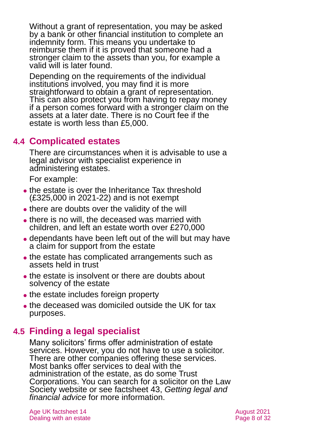Without a grant of representation, you may be asked by a bank or other financial institution to complete an indemnity form. This means you undertake to reimburse them if it is proved that someone had a stronger claim to the assets than you, for example a valid will is later found.

Depending on the requirements of the individual institutions involved, you may find it is more straightforward to obtain a grant of representation. This can also protect you from having to repay money if a person comes forward with a stronger claim on the assets at a later date. There is no Court fee if the estate is worth less than £5,000.

### **4.4 Complicated estates**

There are circumstances when it is advisable to use a legal advisor with specialist experience in administering estates.

For example:

- the estate is over the Inheritance Tax threshold (£325,000 in 2021-22) and is not exempt
- there are doubts over the validity of the will
- ⚫ there is no will, the deceased was married with children, and left an estate worth over £270,000
- ⚫ dependants have been left out of the will but may have a claim for support from the estate
- the estate has complicated arrangements such as assets held in trust
- the estate is insolvent or there are doubts about solvency of the estate
- the estate includes foreign property
- ⚫ the deceased was domiciled outside the UK for tax purposes.

### **4.5 Finding a legal specialist**

Many solicitors' firms offer administration of estate services. However, you do not have to use a solicitor. There are other companies offering these services. Most banks offer services to deal with the administration of the estate, as do some Trust Corporations. You can search for a solicitor on the [Law](#page-28-1)  [Society](#page-28-1) website or see factsheet 43, *[Getting legal and](https://www.ageuk.org.uk/globalassets/age-uk/documents/factsheets/fs43-getting-legal-and-financial-advice.pdf)  [financial advice](https://www.ageuk.org.uk/globalassets/age-uk/documents/factsheets/fs43-getting-legal-and-financial-advice.pdf)* for more information.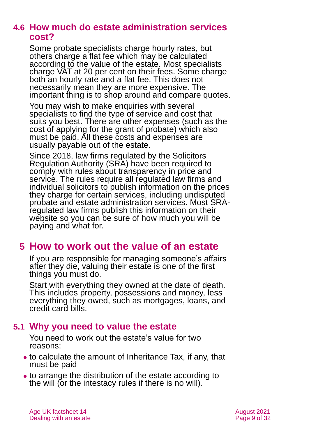### **4.6 How much do estate administration services cost?**

Some probate specialists charge hourly rates, but others charge a flat fee which may be calculated according to the value of the estate. Most specialists charge VAT at 20 per cent on their fees. Some charge both an hourly rate and a flat fee. This does not necessarily mean they are more expensive. The important thing is to shop around and compare quotes.

You may wish to make enquiries with several specialists to find the type of service and cost that suits you best. There are other expenses (such as the cost of applying for the grant of probate) which also must be paid. All these costs and expenses are usually payable out of the estate.

Since 2018, law firms regulated by the Solicitors Regulation Authority (SRA) have been required to comply with rules about transparency in price and service. The rules require all regulated law firms and individual solicitors to publish information on the prices they charge for certain services, including undisputed probate and estate administration services. Most SRAregulated law firms publish this information on their website so you can be sure of how much you will be paying and what for.

### <span id="page-8-0"></span>**5 How to work out the value of an estate**

If you are responsible for managing someone's affairs after they die, valuing their estate is one of the first things you must do.

Start with everything they owned at the date of death. This includes property, possessions and money, less everything they owed, such as mortgages, loans, and credit card bills.

### **5.1 Why you need to value the estate**

You need to work out the estate's value for two reasons:

- ⚫ to calculate the amount of Inheritance Tax, if any, that must be paid
- ⚫ to arrange the distribution of the estate according to the will (or the intestacy rules if there is no will).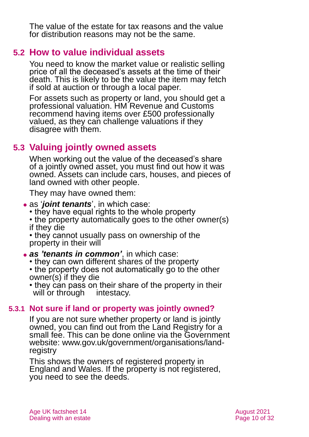The value of the estate for tax reasons and the value for distribution reasons may not be the same.

### **5.2 How to value individual assets**

You need to know the market value or realistic selling price of all the deceased's assets at the time of their death. This is likely to be the value the item may fetch if sold at auction or through a local paper.

For assets such as property or land, you should get a professional valuation. HM Revenue and Customs recommend having items over £500 professionally valued, as they can challenge valuations if they disagree with them.

### **5.3 Valuing jointly owned assets**

When working out the value of the deceased's share of a jointly owned asset, you must find out how it was owned. Assets can include cars, houses, and pieces of land owned with other people.

They may have owned them:

- ⚫ as '*joint tenants*', in which case:
	- they have equal rights to the whole property
	- the property automatically goes to the other owner(s) if they die

• they cannot usually pass on ownership of the property in their will

- ⚫ *as 'tenants in common'*, in which case:
	- they can own different shares of the property
	- the property does not automatically go to the other owner(s) if they die
	- they can pass on their share of the property in their will or through intestacy.

#### **5.3.1 Not sure if land or property was jointly owned?**

If you are not sure whether property or land is jointly owned, you can find out from the [Land Registry](https://www.gov.uk/government/organisations/land-registry) for a small fee. This can be done online via the Government website: [www.gov.uk/government/organisations/land](http://www.gov.uk/government/organisations/land-registry)[registry](http://www.gov.uk/government/organisations/land-registry)

This shows the owners of registered property in England and Wales. If the property is not registered, you need to see the deeds.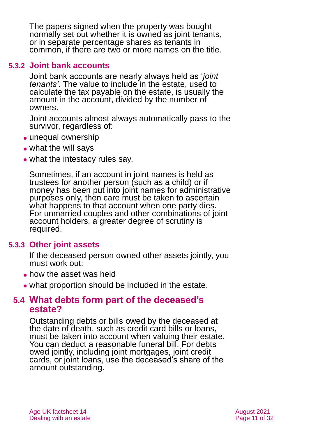The papers signed when the property was bought normally set out whether it is owned as joint tenants, or in separate percentage shares as tenants in common, if there are two or more names on the title.

#### **5.3.2 Joint bank accounts**

Joint bank accounts are nearly always held as '*joint tenants'*. The value to include in the estate, used to calculate the tax payable on the estate, is usually the amount in the account, divided by the number of owners.

Joint accounts almost always automatically pass to the survivor, regardless of:

- ⚫ unequal ownership
- ⚫ what the will says
- what the intestacy rules say.

Sometimes, if an account in joint names is held as trustees for another person (such as a child) or if money has been put into joint names for administrative purposes only, then care must be taken to ascertain what happens to that account when one party dies. For unmarried couples and other combinations of joint account holders, a greater degree of scrutiny is required.

#### **5.3.3 Other joint assets**

If the deceased person owned other assets jointly, you must work out:

- how the asset was held
- ⚫ what proportion should be included in the estate.

### **5.4 What debts form part of the deceased's estate?**

Outstanding debts or bills owed by the deceased at the date of death, such as credit card bills or loans, must be taken into account when valuing their estate. You can deduct a reasonable funeral bill. For debts owed jointly, including joint mortgages, joint credit cards, or joint loans, use the deceased's share of the amount outstanding.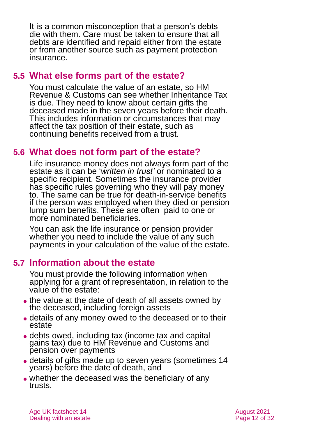It is a common misconception that a person's debts die with them. Care must be taken to ensure that all debts are identified and repaid either from the estate or from another source such as payment protection insurance.

### **5.5 What else forms part of the estate?**

You must calculate the value of an estate, so HM Revenue & Customs can see whether Inheritance Tax is due. They need to know about certain gifts the deceased made in the seven years before their death. This includes information or circumstances that may affect the tax position of their estate, such as continuing benefits received from a trust.

### **5.6 What does not form part of the estate?**

Life insurance money does not always form part of the estate as it can be '*written in trust'* or nominated to a specific recipient. Sometimes the insurance provider has specific rules governing who they will pay money to. The same can be true for death-in-service benefits if the person was employed when they died or pension lump sum benefits. These are often paid to one or more nominated beneficiaries.

You can ask the life insurance or pension provider whether you need to include the value of any such payments in your calculation of the value of the estate.

### **5.7 Information about the estate**

You must provide the following information when applying for a grant of representation, in relation to the value of the estate:

- the value at the date of death of all assets owned by the deceased, including foreign assets
- ⚫ details of any money owed to the deceased or to their estate
- ⚫ debts owed, including tax (income tax and capital gains tax) due to HM Revenue and Customs and pension over payments
- ⚫ details of gifts made up to seven years (sometimes 14 years) before the date of death, and
- whether the deceased was the beneficiary of any trusts.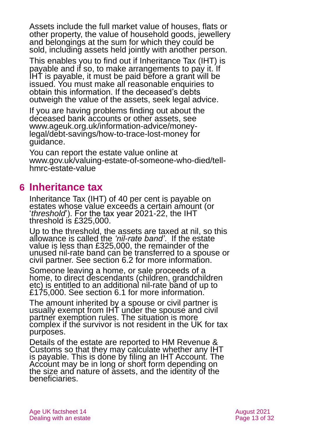Assets include the full market value of houses, flats or other property, the value of household goods, jewellery and belongings at the sum for which they could be sold, including assets held jointly with another person.

This enables you to find out if Inheritance Tax (IHT) is payable and if so, to make arrangements to pay it. If IHT is payable, it must be paid before a grant will be issued. You must make all reasonable enquiries to obtain this information. If the deceased's debts outweigh the value of the assets, seek legal advice.

If you are having problems finding out about the deceased bank accounts or other assets, see [www.ageuk.org.uk/information-advice/money](http://www.ageuk.org.uk/information-advice/money-legal/debt-savings/how-to-trace-lost-money/)[legal/debt-savings/how-to-trace-lost-money](http://www.ageuk.org.uk/information-advice/money-legal/debt-savings/how-to-trace-lost-money/) for guidance.

You can report the estate value online at [www.gov.uk/valuing-estate-of-someone-who-died/tell](http://www.gov.uk/valuing-estate-of-someone-who-died/tell-hmrc-estate-value)[hmrc-estate-value](http://www.gov.uk/valuing-estate-of-someone-who-died/tell-hmrc-estate-value)

### <span id="page-12-0"></span>**6 Inheritance tax**

Inheritance Tax (IHT) of 40 per cent is payable on estates whose value exceeds a certain amount (or '*threshold*'). For the tax year 2021-22, the IHT threshold is £325,000.

Up to the threshold, the assets are taxed at nil, so this allowance is called the *'nil-rate band'*. If the estate value is less than £325,000, the remainder of the unused nil-rate band can be transferred to a spouse or civil partner. See [section 6.2](#page-14-0) for more information.

Someone leaving a home, or sale proceeds of a home, to direct descendants (children, grandchildren etc) is entitled to an additional nil-rate band of up to £175,000. See [section 6.1](#page-13-0) for more information.

The amount inherited by a spouse or civil partner is usually exempt from IHT under the spouse and civil partner exemption rules. The situation is more complex if the survivor is not resident in the UK for tax purposes.

Details of the estate are reported to HM Revenue & Customs so that they may calculate whether any IHT is payable. This is done by filing an IHT Account. The Account may be in long or short form depending on the size and nature of assets, and the identity of the beneficiaries.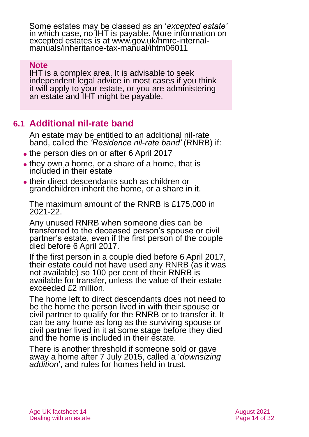Some estates may be classed as an '*excepted estate'* in which case, no IHT is payable. More information on excepted estates is at [www.gov.uk/hmrc-internal](http://www.gov.uk/hmrc-internal-manuals/inheritance-tax-manual/ihtm06011)[manuals/inheritance-tax-manual/ihtm06011](http://www.gov.uk/hmrc-internal-manuals/inheritance-tax-manual/ihtm06011)

#### **Note**

IHT is a complex area. It is advisable to seek independent legal advice in most cases if you think it will apply to your estate, or you are administering an estate and IHT might be payable.

### <span id="page-13-0"></span>**6.1 Additional nil-rate band**

An estate may be entitled to an additional nil-rate band, called the *'Residence nil-rate band'* (RNRB) if:

- the person dies on or after 6 April 2017
- they own a home, or a share of a home, that is included in their estate
- ⚫ their direct descendants such as children or grandchildren inherit the home, or a share in it.

The maximum amount of the RNRB is £175,000 in 2021-22.

Any unused RNRB when someone dies can be transferred to the deceased person's spouse or civil partner's estate, even if the first person of the couple died before 6 April 2017.

If the first person in a couple died before 6 April 2017, their estate could not have used any RNRB (as it was not available) so 100 per cent of their RNRB is available for transfer, unless the value of their estate exceeded £2 million.

The home left to direct descendants does not need to be the home the person lived in with their spouse or civil partner to qualify for the RNRB or to transfer it. It can be any home as long as the surviving spouse or civil partner lived in it at some stage before they died and the home is included in their estate.

There is another threshold if someone sold or gave away a home after 7 July 2015, called a '*downsizing addition*', and rules for homes held in trust.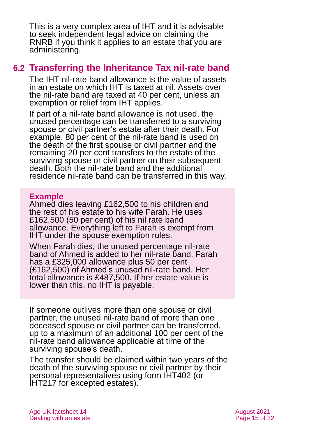This is a very complex area of IHT and it is advisable to seek independent legal advice on claiming the RNRB if you think it applies to an estate that you are administering.

### <span id="page-14-0"></span>**6.2 Transferring the Inheritance Tax nil-rate band**

The IHT nil-rate band allowance is the value of assets in an estate on which IHT is taxed at nil. Assets over the nil-rate band are taxed at 40 per cent, unless an exemption or relief from IHT applies.

If part of a nil-rate band allowance is not used, the unused percentage can be transferred to a surviving spouse or civil partner's estate after their death. For example, 80 per cent of the nil-rate band is used on the death of the first spouse or civil partner and the remaining 20 per cent transfers to the estate of the surviving spouse or civil partner on their subsequent death. Both the nil-rate band and the additional residence nil-rate band can be transferred in this way.

#### **Example**

Ahmed dies leaving £162,500 to his children and the rest of his estate to his wife Farah. He uses £162,500 (50 per cent) of his nil rate band allowance. Everything left to Farah is exempt from IHT under the spouse exemption rules.

When Farah dies, the unused percentage nil-rate band of Ahmed is added to her nil-rate band. Farah has a £325,000 allowance plus 50 per cent (£162,500) of Ahmed's unused nil-rate band. Her total allowance is £487,500. If her estate value is lower than this, no IHT is payable.

If someone outlives more than one spouse or civil partner, the unused nil-rate band of more than one deceased spouse or civil partner can be transferred, up to a maximum of an additional 100 per cent of the nil-rate band allowance applicable at time of the surviving spouse's death.

The transfer should be claimed within two years of the death of the surviving spouse or civil partner by their personal representatives using form [IHT402](https://www.gov.uk/government/publications/inheritance-tax-claim-to-transfer-unused-nil-rate-band-iht402) (or [IHT217](https://www.gov.uk/government/publications/inheritance-tax-claim-to-transfer-unused-nil-rate-band-for-excepted-estates-iht217) for excepted estates).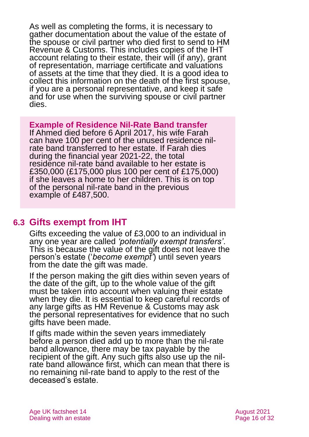As well as completing the forms, it is necessary to gather documentation about the value of the estate of the spouse or civil partner who died first to send to HM Revenue & Customs. This includes copies of the IHT account relating to their estate, their will (if any), grant of representation, marriage certificate and valuations of assets at the time that they died. It is a good idea to collect this information on the death of the first spouse, if you are a personal representative, and keep it safe and for use when the surviving spouse or civil partner dies.

**Example of Residence Nil-Rate Band transfer** If Ahmed died before 6 April 2017, his wife Farah can have 100 per cent of the unused residence nilrate band transferred to her estate. If Farah dies

during the financial year 2021-22, the total residence nil-rate band available to her estate is £350,000 (£175,000 plus 100 per cent of £175,000) if she leaves a home to her children. This is on top of the personal nil-rate band in the previous example of £487,500.

### **6.3 Gifts exempt from IHT**

Gifts exceeding the value of £3,000 to an individual in any one year are called *'potentially exempt transfers'*. This is because the value of the gift does not leave the person's estate ('*become exempt'*) until seven years from the date the gift was made.

If the person making the gift dies within seven years of the date of the gift, up to the whole value of the gift must be taken into account when valuing their estate when they die. It is essential to keep careful records of any large gifts as HM Revenue & Customs may ask the personal representatives for evidence that no such gifts have been made.

If gifts made within the seven years immediately before a person died add up to more than the nil-rate band allowance, there may be tax payable by the recipient of the gift. Any such gifts also use up the nilrate band allowance first, which can mean that there is no remaining nil-rate band to apply to the rest of the deceased's estate.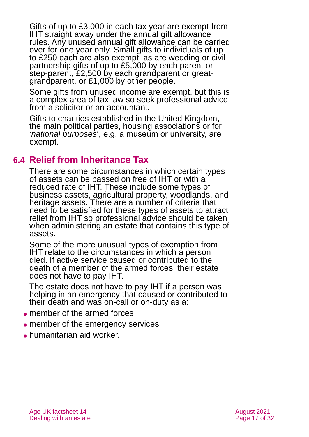Gifts of up to £3,000 in each tax year are exempt from IHT straight away under the annual gift allowance rules. Any unused annual gift allowance can be carried over for one year only. Small gifts to individuals of up to £250 each are also exempt, as are wedding or civil partnership gifts of up to £5,000 by each parent or step-parent, £2,500 by each grandparent or greatgrandparent, or £1,000 by other people.

Some gifts from unused income are exempt, but this is a complex area of tax law so seek professional advice from a solicitor or an accountant.

Gifts to charities established in the United Kingdom, the main political parties, housing associations or for '*national purposes*', e.g. a museum or university, are exempt.

### **6.4 Relief from Inheritance Tax**

There are some circumstances in which certain types of assets can be passed on free of IHT or with a reduced rate of IHT. These include some types of business assets, agricultural property, woodlands, and heritage assets. There are a number of criteria that need to be satisfied for these types of assets to attract relief from IHT so professional advice should be taken when administering an estate that contains this type of assets.

Some of the more unusual types of exemption from IHT relate to the circumstances in which a person died. If active service caused or contributed to the death of a member of the armed forces, their estate does not have to pay IHT.

The estate does not have to pay IHT if a person was helping in an emergency that caused or contributed to their death and was on-call or on-duty as a:

- ⚫ member of the armed forces
- ⚫ member of the emergency services
- ⚫ humanitarian aid worker.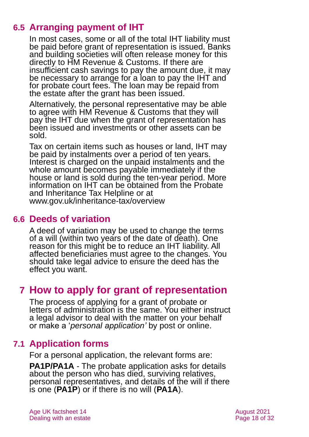### **6.5 Arranging payment of IHT**

In most cases, some or all of the total IHT liability must be paid before grant of representation is issued. Banks and building societies will often release money for this directly to HM Revenue & Customs. If there are insufficient cash savings to pay the amount due, it may be necessary to arrange for a loan to pay the IHT and for probate court fees. The loan may be repaid from the estate after the grant has been issued.

Alternatively, the personal representative may be able to agree with HM Revenue & Customs that they will pay the IHT due when the grant of representation has been issued and investments or other assets can be sold.

Tax on certain items such as houses or land, IHT may be paid by instalments over a period of ten years. Interest is charged on the unpaid instalments and the whole amount becomes payable immediately if the house or land is sold during the ten-year period. More information on IHT can be obtained from the Probate and Inheritance Tax Helpline or at [www.gov.uk/inheritance-tax/overview](http://www.gov.uk/inheritance-tax/overview)

#### **6.6 Deeds of variation**

A deed of variation may be used to change the terms of a will (within two years of the date of death). One reason for this might be to reduce an IHT liability. All affected beneficiaries must agree to the changes. You should take legal advice to ensure the deed has the effect you want.

### <span id="page-17-0"></span>**7 How to apply for grant of representation**

The process of applying for a grant of probate or letters of administration is the same. You either instruct a legal advisor to deal with the matter on your behalf or make a '*personal application'* by post or online.

### **7.1 Application forms**

For a personal application, the relevant forms are:

**PA1P/PA1A** - The probate application asks for details about the person who has died, surviving relatives, personal representatives, and details of the will if there is one (**[PA1P](https://www.gov.uk/government/publications/form-pa1p-apply-for-probate-the-deceased-had-a-will)**) or if there is no will (**[PA1A](https://www.gov.uk/government/publications/apply-for-probate-by-post-if-there-is-not-a-will)**).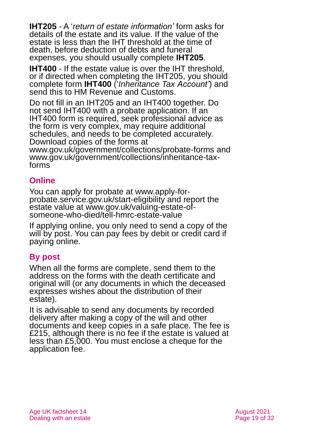**IHT205** - A '*return of estate information'* form asks for details of the estate and its value. If the value of the estate is less than the IHT threshold at the time of death, before deduction of debts and funeral expenses, you should usually complete **[IHT205](https://www.gov.uk/government/publications/inheritance-tax-return-of-estate-information-iht205-2011)**.

**IHT400** - If the estate value is over the IHT threshold. or if directed when completing the IHT205, you should complete form **[IHT400](https://www.gov.uk/government/publications/inheritance-tax-inheritance-tax-account-iht400)** ('*Inheritance Tax Account'*) and send this to HM Revenue and Customs.

Do not fill in an IHT205 and an IHT400 together. Do not send IHT400 with a probate application. If an IHT400 form is required, seek professional advice as the form is very complex, may require additional schedules, and needs to be completed accurately. Download copies of the forms at [www.gov.uk/government/collections/probate-forms](http://www.gov.uk/government/collections/probate-forms) and [www.gov.uk/government/collections/inheritance-tax](http://www.gov.uk/government/collections/inheritance-tax-forms)[forms](http://www.gov.uk/government/collections/inheritance-tax-forms)

#### **Online**

You can apply for probate at [www.apply-for](http://www.apply-for-probate.service.gov.uk/start-eligibility?_)[probate.service.gov.uk/start-eligibility](http://www.apply-for-probate.service.gov.uk/start-eligibility?_) and report the estate value at [www.gov.uk/valuing-estate-of](http://www.gov.uk/valuing-estate-of-someone-who-died/tell-hmrc-estate-value)[someone-who-died/tell-hmrc-estate-value](http://www.gov.uk/valuing-estate-of-someone-who-died/tell-hmrc-estate-value)

If applying online, you only need to send a copy of the will by post. You can pay fees by debit or credit card if paying online.

### **By post**

When all the forms are complete, send them to the address on the forms with the death certificate and original will (or any documents in which the deceased expresses wishes about the distribution of their estate).

It is advisable to send any documents by recorded delivery after making a copy of the will and other documents and keep copies in a safe place. The fee is £215, although there is no fee if the estate is valued at less than £5,000. You must enclose a cheque for the application fee.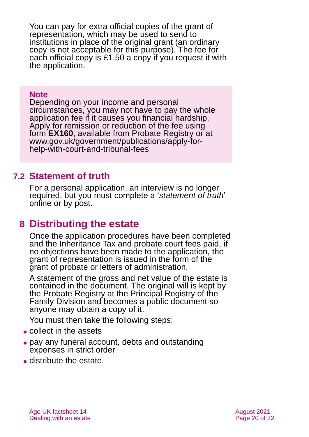You can pay for extra official copies of the grant of representation, which may be used to send to institutions in place of the original grant (an ordinary copy is not acceptable for this purpose). The fee for each official copy is £1.50 a copy if you request it with the application.

#### **Note**

Depending on your income and personal circumstances, you may not have to pay the whole application fee if it causes you financial hardship. Apply for remission or reduction of the fee using form **[EX160](https://www.gov.uk/government/publications/apply-for-help-with-court-and-tribunal-fees)**, available from Probate Registry or at [www.gov.uk/government/publications/apply-for](http://www.gov.uk/government/publications/apply-for-help-with-court-and-tribunal-fees)[help-with-court-and-tribunal-fees](http://www.gov.uk/government/publications/apply-for-help-with-court-and-tribunal-fees)

### **7.2 Statement of truth**

For a personal application, an interview is no longer required, but you must complete a '*statement of truth*' online or by post.

### <span id="page-19-0"></span>**8 Distributing the estate**

Once the application procedures have been completed and the Inheritance Tax and probate court fees paid, if no objections have been made to the application, the grant of representation is issued in the form of the grant of probate or letters of administration.

A statement of the gross and net value of the estate is contained in the document. The original will is kept by the Probate Registry at the Principal Registry of the Family Division and becomes a public document so anyone may obtain a copy of it.

You must then take the following steps:

- collect in the assets
- ⚫ pay any funeral account, debts and outstanding expenses in strict order
- ⚫ distribute the estate.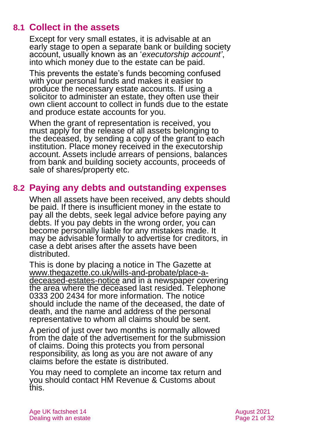### **8.1 Collect in the assets**

Except for very small estates, it is advisable at an early stage to open a separate bank or building society account, usually known as an '*executorship account'*, into which money due to the estate can be paid.

This prevents the estate's funds becoming confused with your personal funds and makes it easier to produce the necessary estate accounts. If using a solicitor to administer an estate, they often use their own client account to collect in funds due to the estate and produce estate accounts for you.

When the grant of representation is received, you must apply for the release of all assets belonging to the deceased, by sending a copy of the grant to each institution. Place money received in the executorship account. Assets include arrears of pensions, balances from bank and building society accounts, proceeds of sale of shares/property etc.

### **8.2 Paying any debts and outstanding expenses**

When all assets have been received, any debts should be paid. If there is insufficient money in the estate to pay all the debts, seek legal advice before paying any debts. If you pay debts in the wrong order, you can become personally liable for any mistakes made. It may be advisable formally to advertise for creditors, in case a debt arises after the assets have been distributed.

This is done by placing a notice in The Gazette at [www.thegazette.co.uk/wills-and-probate/place-a](http://www.thegazette.co.uk/wills-and-probate/place-a-deceased-estates-notice)[deceased-estates-notice](http://www.thegazette.co.uk/wills-and-probate/place-a-deceased-estates-notice) and in a newspaper covering the area where the deceased last resided. Telephone 0333 200 2434 for more information. The notice should include the name of the deceased, the date of death, and the name and address of the personal representative to whom all claims should be sent.

A period of just over two months is normally allowed from the date of the advertisement for the submission of claims. Doing this protects you from personal responsibility, as long as you are not aware of any claims before the estate is distributed.

You may need to complete an income tax return and you should contact HM Revenue & Customs about this.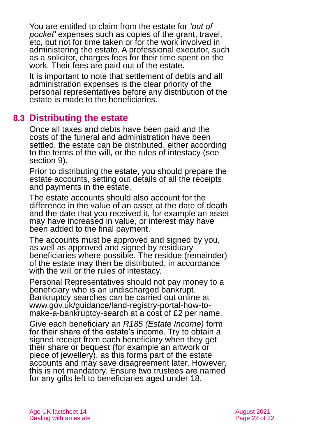You are entitled to claim from the estate for *'out of pocket'* expenses such as copies of the grant, travel, etc, but not for time taken or for the work involved in administering the estate. A professional executor, such as a solicitor, charges fees for their time spent on the work. Their fees are paid out of the estate.

It is important to note that settlement of debts and all administration expenses is the clear priority of the personal representatives before any distribution of the estate is made to the beneficiaries.

### **8.3 Distributing the estate**

Once all taxes and debts have been paid and the costs of the funeral and administration have been settled, the estate can be distributed, either according to the terms of the will, or the rules of intestacy (see [section](#page-23-0) 9).

Prior to distributing the estate, you should prepare the estate accounts, setting out details of all the receipts and payments in the estate.

The estate accounts should also account for the difference in the value of an asset at the date of death and the date that you received it, for example an asset may have increased in value, or interest may have been added to the final payment.

The accounts must be approved and signed by you, as well as approved and signed by residuary beneficiaries where possible. The residue (remainder) of the estate may then be distributed, in accordance with the will or the rules of intestacy.

Personal Representatives should not pay money to a beneficiary who is an undischarged bankrupt. Bankruptcy searches can be carried out online at [www.gov.uk/guidance/land-registry-portal-how-to](http://www.gov.uk/guidance/land-registry-portal-how-to-make-a-bankruptcy-search)[make-a-bankruptcy-search](http://www.gov.uk/guidance/land-registry-portal-how-to-make-a-bankruptcy-search) at a cost of £2 per name.

Give each beneficiary an *[R185 \(Estate Income\)](https://www.gov.uk/government/publications/trusts-and-estates-statement-of-income-from-estates-r185-estate-income)* form for their share of the estate's income. Try to obtain a signed receipt from each beneficiary when they get their share or bequest (for example an artwork or piece of jewellery), as this forms part of the estate accounts and may save disagreement later. However, this is not mandatory. Ensure two trustees are named for any gifts left to beneficiaries aged under 18.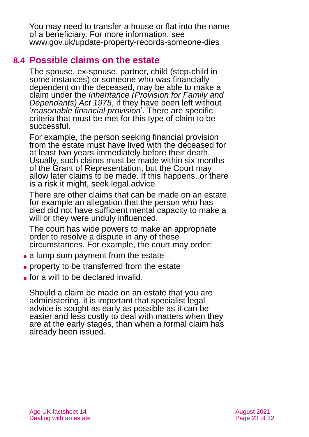You may need to transfer a house or flat into the name of a beneficiary. For more information, see [www.gov.uk/update-property-records-someone-dies](http://www.gov.uk/update-property-records-someone-dies)

### **8.4 Possible claims on the estate**

The spouse, ex-spouse, partner, child (step-child in some instances) or someone who was financially dependent on the deceased, may be able to make a claim under the *Inheritance (Provision for Family and Dependants) Act 1975*, if they have been left without '*reasonable financial provision*'. There are specific criteria that must be met for this type of claim to be successful.

For example, the person seeking financial provision from the estate must have lived with the deceased for at least two years immediately before their death. Usually, such claims must be made within six months of the Grant of Representation, but the Court may allow later claims to be made. If this happens, or there is a risk it might, seek legal advice.

There are other claims that can be made on an estate, for example an allegation that the person who has died did not have sufficient mental capacity to make a will or they were unduly influenced.

The court has wide powers to make an appropriate order to resolve a dispute in any of these circumstances. For example, the court may order:

- a lump sum payment from the estate
- property to be transferred from the estate
- ⚫ for a will to be declared invalid.

Should a claim be made on an estate that you are administering, it is important that specialist legal advice is sought as early as possible as it can be easier and less costly to deal with matters when they are at the early stages, than when a formal claim has already been issued.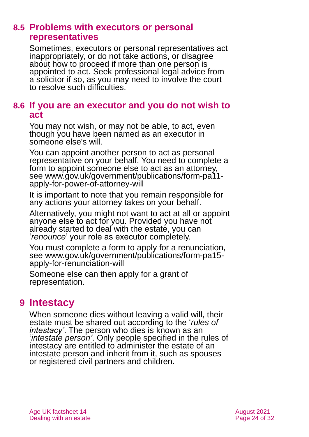#### **8.5 Problems with executors or personal representatives**

Sometimes, executors or personal representatives act inappropriately, or do not take actions, or disagree about how to proceed if more than one person is appointed to act. Seek professional legal advice from a solicitor if so, as you may need to involve the court to resolve such difficulties.

#### <span id="page-23-1"></span>**8.6 If you are an executor and you do not wish to act**

You may not wish, or may not be able, to act, even though you have been named as an executor in someone else's will.

You can appoint another person to act as personal representative on your behalf. You need to complete a form to appoint someone else to act as an attorney, see [www.gov.uk/government/publications/form-pa11](http://www.gov.uk/government/publications/form-pa11-apply-for-power-of-attorney-will) [apply-for-power-of-attorney-will](http://www.gov.uk/government/publications/form-pa11-apply-for-power-of-attorney-will)

It is important to note that you remain responsible for any actions your attorney takes on your behalf.

Alternatively, you might not want to act at all or appoint anyone else to act for you. Provided you have not already started to deal with the estate, you can '*renounce*' your role as executor completely.

You must complete a form to apply for a renunciation, see [www.gov.uk/government/publications/form-pa15](http://www.gov.uk/government/publications/form-pa15-apply-for-renunciation-will) [apply-for-renunciation-will](http://www.gov.uk/government/publications/form-pa15-apply-for-renunciation-will)

Someone else can then apply for a grant of representation.

### <span id="page-23-0"></span>**9 Intestacy**

When someone dies without leaving a valid will, their estate must be shared out according to the '*rules of intestacy'*. The person who dies is known as an '*intestate person'*. Only people specified in the rules of intestacy are entitled to administer the estate of an intestate person and inherit from it, such as spouses or registered civil partners and children.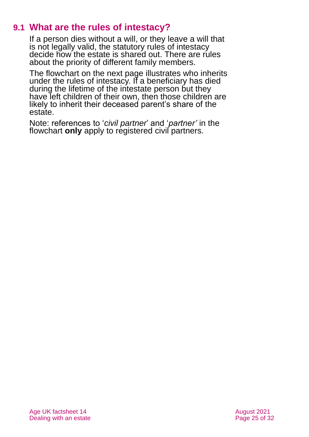### **9.1 What are the rules of intestacy?**

If a person dies without a will, or they leave a will that is not legally valid, the statutory rules of intestacy decide how the estate is shared out. There are rules about the priority of different family members.

The flowchart on the next page illustrates who inherits under the rules of intestacy. If a beneficiary has died during the lifetime of the intestate person but they have left children of their own, then those children are likely to inherit their deceased parent's share of the estate.

Note: references to '*civil partner*' and '*partner'* in the flowchart **only** apply to registered civil partners.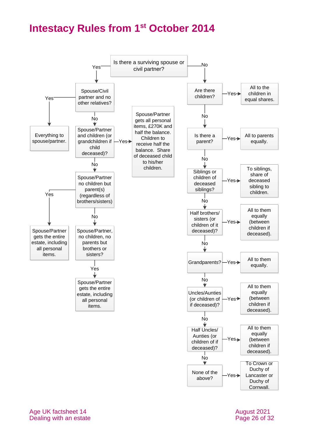# **Intestacy Rules from 1st October 2014**

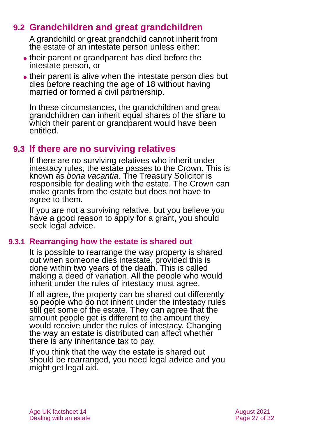### **9.2 Grandchildren and great grandchildren**

A grandchild or great grandchild cannot inherit from the estate of an intestate person unless either:

- ⚫ their parent or grandparent has died before the intestate person, or
- ⚫ their parent is alive when the intestate person dies but dies before reaching the age of 18 without having married or formed a civil partnership.

In these circumstances, the grandchildren and great grandchildren can inherit equal shares of the share to which their parent or grandparent would have been entitled.

### **9.3 If there are no surviving relatives**

If there are no surviving relatives who inherit under intestacy rules, the estate passes to the Crown. This is known as *bona vacantia*. The Treasury Solicitor is responsible for dealing with the estate. The Crown can make grants from the estate but does not have to agree to them.

If you are not a surviving relative, but you believe you have a good reason to apply for a grant, you should seek legal advice.

#### **9.3.1 Rearranging how the estate is shared out**

<span id="page-26-0"></span>It is possible to rearrange the way property is shared out when someone dies intestate, provided this is done within two years of the death. This is called making a deed of variation. All the people who would inherit under the rules of intestacy must agree.

If all agree, the property can be shared out differently so people who do not inherit under the intestacy rules still get some of the estate. They can agree that the amount people get is different to the amount they would receive under the rules of intestacy. Changing the way an estate is distributed can affect whether there is any inheritance tax to pay.

If you think that the way the estate is shared out should be rearranged, you need legal advice and you might get legal aid.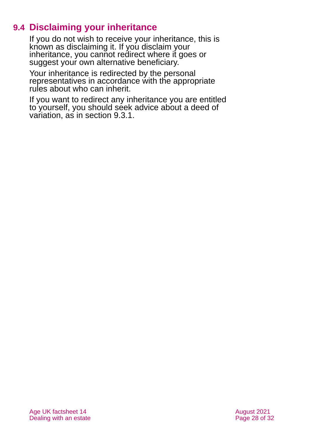### **9.4 Disclaiming your inheritance**

If you do not wish to receive your inheritance, this is known as disclaiming it. If you disclaim your inheritance, you cannot redirect where it goes or suggest your own alternative beneficiary.

Your inheritance is redirected by the personal representatives in accordance with the appropriate rules about who can inherit.

If you want to redirect any inheritance you are entitled to yourself, you should seek advice about a deed of variation, as in [section](#page-26-0) 9.3.1.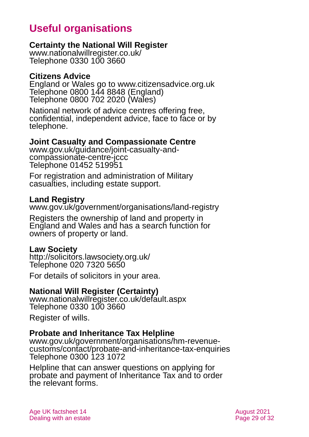# **Useful organisations**

#### <span id="page-28-0"></span>**Certainty the National Will Register**

[www.nationalwillregister.co.uk/](http://www.nationalwillregister.co.uk/) Telephone 0330 100 3660

#### **Citizens Advice**

England or Wales go to [www.citizensadvice.org.uk](http://www.citizensadvice.org.uk/) Telephone 0800 144 8848 (England) Telephone 0800 702 2020 (Wales)

National network of advice centres offering free, confidential, independent advice, face to face or by telephone.

### **Joint Casualty and Compassionate Centre**

[www.gov.uk/guidance/joint-casualty-and](http://www.gov.uk/guidance/joint-casualty-and-compassionate-centre-jccc)[compassionate-centre-jccc](http://www.gov.uk/guidance/joint-casualty-and-compassionate-centre-jccc) Telephone 01452 519951

For registration and administration of Military casualties, including estate support.

#### **Land Registry**

[www.gov.uk/government/organisations/land-registry](http://www.gov.uk/government/organisations/land-registry)

Registers the ownership of land and property in England and Wales and has a search function for owners of property or land.

#### <span id="page-28-1"></span>**Law Society**

<http://solicitors.lawsociety.org.uk/> Telephone 020 7320 5650

For details of solicitors in your area.

#### **National Will Register (Certainty)**

[www.nationalwillregister.co.uk/default.aspx](http://www.nationalwillregister.co.uk/default.aspx) Telephone 0330 100 3660

Register of wills.

#### **Probate and Inheritance Tax Helpline**

[www.gov.uk/government/organisations/hm-revenue](http://www.gov.uk/government/organisations/hm-revenue-customs/contact/probate-and-inheritance-tax-enquiries)[customs/contact/probate-and-inheritance-tax-enquiries](http://www.gov.uk/government/organisations/hm-revenue-customs/contact/probate-and-inheritance-tax-enquiries) Telephone 0300 123 1072

Helpline that can answer questions on applying for probate and payment of Inheritance Tax and to order the relevant forms.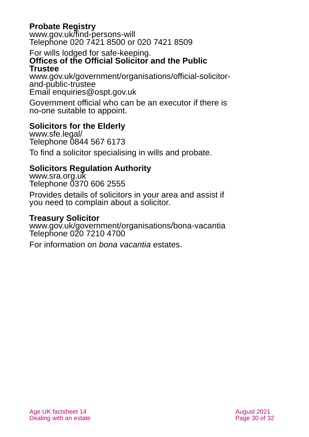### **Probate Registry**

[www.gov.uk/find-persons-will](http://www.gov.uk/find-persons-will)  Telephone 020 7421 8500 or 020 7421 8509

#### For wills lodged for safe-keeping. **Offices of the Official Solicitor and the Public Trustee**

[www.gov.uk/government/organisations/official-solicitor](http://www.gov.uk/government/organisations/official-solicitor-and-public-trustee)[and-public-trustee](http://www.gov.uk/government/organisations/official-solicitor-and-public-trustee) Email [enquiries@ospt.gov.uk](mailto:enquiries@ospt.gov.uk)

Government official who can be an executor if there is no-one suitable to appoint.

#### **Solicitors for the Elderly**

[www.sfe.legal/](http://www.sfe.legal/) Telephone 0844 567 6173

To find a solicitor specialising in wills and probate.

### **Solicitors Regulation Authority**

[www.sra.org.uk](http://www.sra.org.uk/) Telephone 0370 606 2555

Provides details of solicitors in your area and assist if you need to complain about a solicitor.

#### **Treasury Solicitor**

[www.gov.uk/government/organisations/bona-vacantia](http://www.gov.uk/government/organisations/bona-vacantia) Telephone 020 7210 4700

For information on *bona vacantia* estates.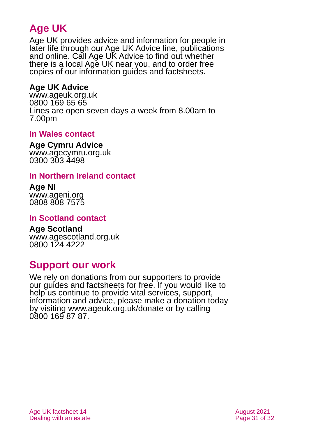# **Age UK**

Age UK provides advice and information for people in later life through our Age UK Advice line, publications and online. Call Age UK Advice to find out whether there is a local Age UK near you, and to order free copies of our information guides and factsheets.

#### <span id="page-30-2"></span>**Age UK Advice**

[www.ageuk.org.uk](http://www.ageuk.org.uk/) 0800 169 65 65 Lines are open seven days a week from 8.00am to 7.00pm

#### **In Wales contact**

#### **Age Cymru Advice**

[www.agecymru.org.uk](http://www.agecymru.org.uk/) 0300 303 4498

#### <span id="page-30-1"></span>**In Northern Ireland contact**

#### **Age NI** [www.ageni.org](http://www.ageni.org/)

0808 808 7575

#### <span id="page-30-0"></span>**In Scotland contact**

### <span id="page-30-3"></span>**Age Scotland**

[www.agescotland.org.uk](http://www.agescotland.org.uk/) 0800 124 4222

### **Support our work**

We rely on donations from our supporters to provide our guides and factsheets for free. If you would like to help us continue to provide vital services, support, information and advice, please make a donation today by visiting [www.ageuk.org.uk/donate](http://www.ageuk.org.uk/donate) or by calling 0800 169 87 87.